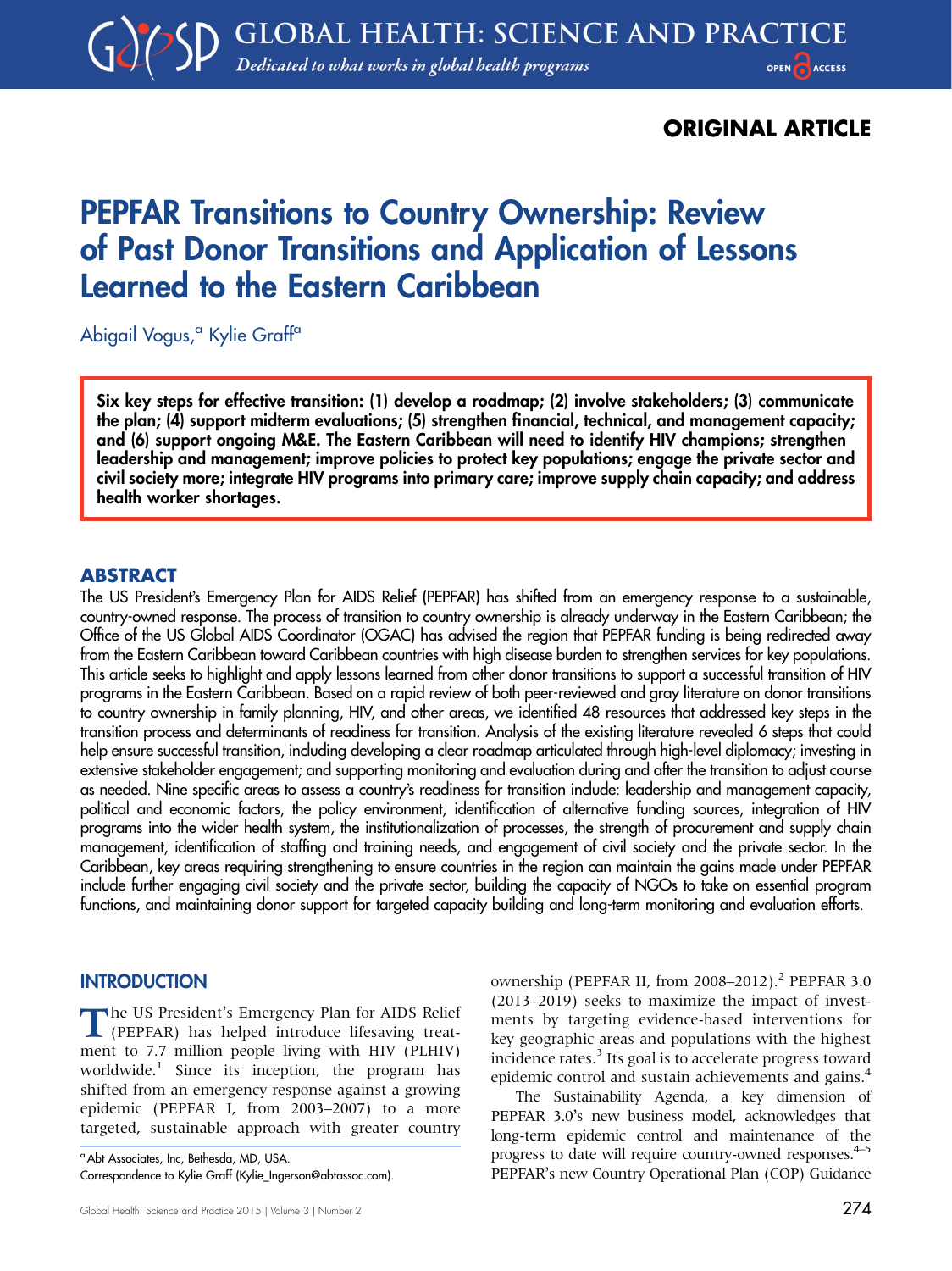# ORIGINAL ARTICLE

# PEPFAR Transitions to Country Ownership: Review of Past Donor Transitions and Application of Lessons Learned to the Eastern Caribbean

Abigail Vogus,<sup>a</sup> Kylie Graff<sup>a</sup>

Six key steps for effective transition: (1) develop a roadmap; (2) involve stakeholders; (3) communicate the plan; (4) support midterm evaluations; (5) strengthen financial, technical, and management capacity; and (6) support ongoing M&E. The Eastern Caribbean will need to identify HIV champions; strengthen leadership and management; improve policies to protect key populations; engage the private sector and civil society more; integrate HIV programs into primary care; improve supply chain capacity; and address health worker shortages.

# **ABSTRACT**

The US President's Emergency Plan for AIDS Relief (PEPFAR) has shifted from an emergency response to a sustainable, country-owned response. The process of transition to country ownership is already underway in the Eastern Caribbean; the Office of the US Global AIDS Coordinator (OGAC) has advised the region that PEPFAR funding is being redirected away from the Eastern Caribbean toward Caribbean countries with high disease burden to strengthen services for key populations. This article seeks to highlight and apply lessons learned from other donor transitions to support a successful transition of HIV programs in the Eastern Caribbean. Based on a rapid review of both peer-reviewed and gray literature on donor transitions to country ownership in family planning, HIV, and other areas, we identified 48 resources that addressed key steps in the transition process and determinants of readiness for transition. Analysis of the existing literature revealed 6 steps that could help ensure successful transition, including developing a clear roadmap articulated through high-level diplomacy; investing in extensive stakeholder engagement; and supporting monitoring and evaluation during and after the transition to adjust course as needed. Nine specific areas to assess a country's readiness for transition include: leadership and management capacity, political and economic factors, the policy environment, identification of alternative funding sources, integration of HIV programs into the wider health system, the institutionalization of processes, the strength of procurement and supply chain management, identification of staffing and training needs, and engagement of civil society and the private sector. In the Caribbean, key areas requiring strengthening to ensure countries in the region can maintain the gains made under PEPFAR include further engaging civil society and the private sector, building the capacity of NGOs to take on essential program functions, and maintaining donor support for targeted capacity building and long-term monitoring and evaluation efforts.

# **INTRODUCTION**

The US President's Emergency Plan for AIDS Relief<br>(PEPFAR) has helped introduce lifesaving treatment to 7.7 million people living with HIV (PLHIV) worldwide. $\frac{1}{1}$  Since its inception, the program has shifted from an emergency response against a growing epidemic (PEPFAR I, from 2003–2007) to a more targeted, sustainable approach with greater country

<sup>a</sup> Abt Associates, Inc, Bethesda, MD, USA. Correspondence to Kylie Graff ([Kylie\\_Ingerson@abtassoc.com\)](mailto:Kylie_Ingerson@abtassoc.com). ownership (PEPFAR II, from  $2008-2012$ ).<sup>2</sup> PEPFAR 3.0 (2013–2019) seeks to maximize the impact of investments by targeting evidence-based interventions for key geographic areas and populations with the highest incidence rates.<sup>3</sup> Its goal is to accelerate progress toward epidemic control and sustain achievements and gains.<sup>4</sup>

The Sustainability Agenda, a key dimension of PEPFAR 3.0's new business model, acknowledges that long-term epidemic control and maintenance of the progress to date will require country-owned responses.<sup>4-5</sup> PEPFAR's new Country Operational Plan (COP) Guidance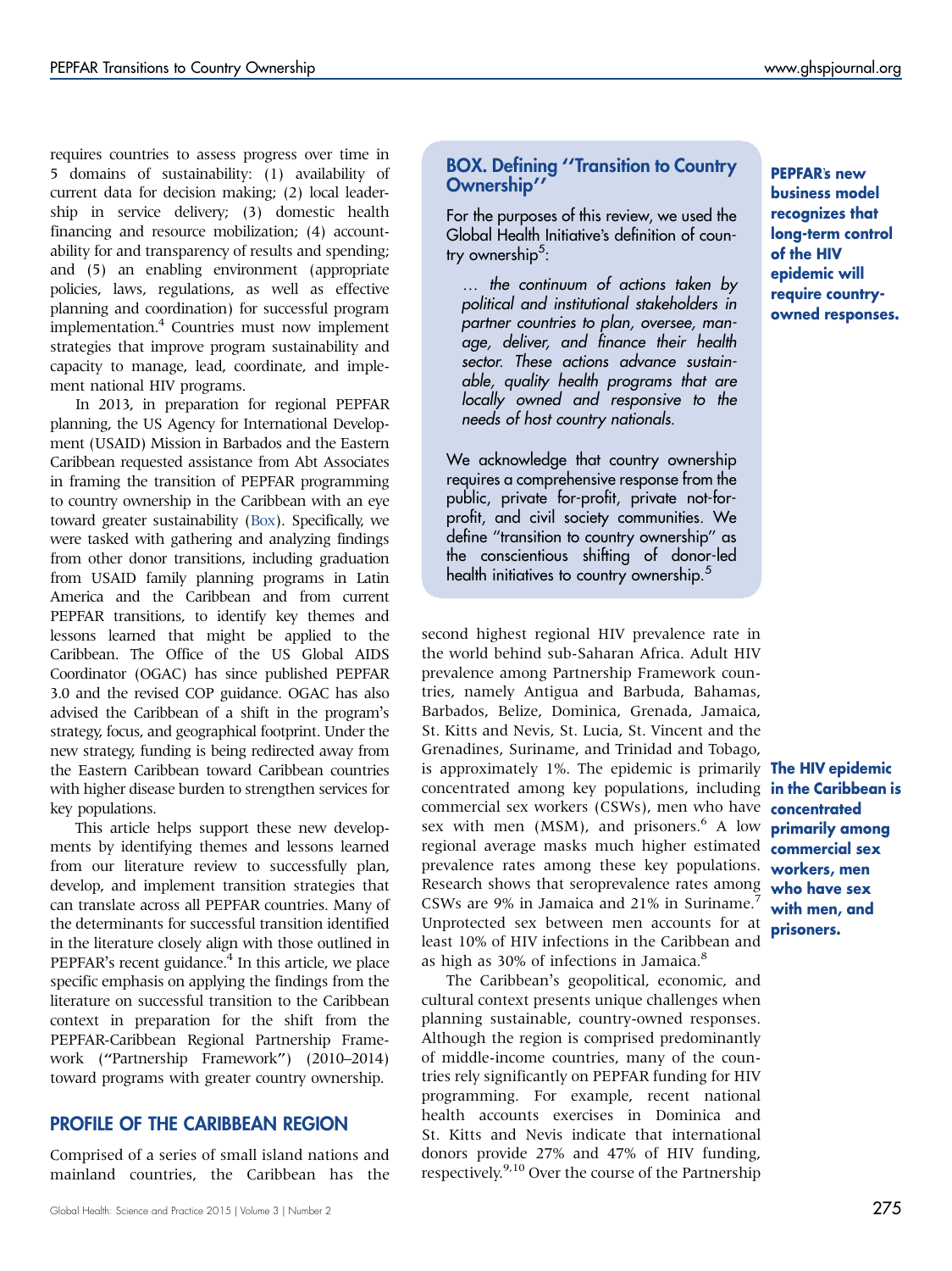requires countries to assess progress over time in 5 domains of sustainability: (1) availability of current data for decision making; (2) local leadership in service delivery; (3) domestic health financing and resource mobilization; (4) accountability for and transparency of results and spending; and (5) an enabling environment (appropriate policies, laws, regulations, as well as effective planning and coordination) for successful program implementation.4 Countries must now implement strategies that improve program sustainability and capacity to manage, lead, coordinate, and implement national HIV programs.

In 2013, in preparation for regional PEPFAR planning, the US Agency for International Development (USAID) Mission in Barbados and the Eastern Caribbean requested assistance from Abt Associates in framing the transition of PEPFAR programming to country ownership in the Caribbean with an eye toward greater sustainability (Box). Specifically, we were tasked with gathering and analyzing findings from other donor transitions, including graduation from USAID family planning programs in Latin America and the Caribbean and from current PEPFAR transitions, to identify key themes and lessons learned that might be applied to the Caribbean. The Office of the US Global AIDS Coordinator (OGAC) has since published PEPFAR 3.0 and the revised COP guidance. OGAC has also advised the Caribbean of a shift in the program's strategy, focus, and geographical footprint. Under the new strategy, funding is being redirected away from the Eastern Caribbean toward Caribbean countries with higher disease burden to strengthen services for key populations.

This article helps support these new developments by identifying themes and lessons learned from our literature review to successfully plan, develop, and implement transition strategies that can translate across all PEPFAR countries. Many of the determinants for successful transition identified in the literature closely align with those outlined in PEPFAR's recent guidance.<sup>4</sup> In this article, we place specific emphasis on applying the findings from the literature on successful transition to the Caribbean context in preparation for the shift from the PEPFAR-Caribbean Regional Partnership Framework (''Partnership Framework'') (2010–2014) toward programs with greater country ownership.

# PROFILE OF THE CARIBBEAN REGION

Comprised of a series of small island nations and mainland countries, the Caribbean has the

# BOX. Defining ''Transition to Country Ownership''

For the purposes of this review, we used the Global Health Initiative's definition of country ownership<sup>5</sup>:

... the continuum of actions taken by political and institutional stakeholders in partner countries to plan, oversee, manage, deliver, and finance their health sector. These actions advance sustainable, quality health programs that are locally owned and responsive to the needs of host country nationals.

We acknowledge that country ownership requires a comprehensive response from the public, private for-profit, private not-forprofit, and civil society communities. We define ''transition to country ownership'' as the conscientious shifting of donor-led health initiatives to country ownership.<sup>5</sup>

second highest regional HIV prevalence rate in the world behind sub-Saharan Africa. Adult HIV prevalence among Partnership Framework countries, namely Antigua and Barbuda, Bahamas, Barbados, Belize, Dominica, Grenada, Jamaica, St. Kitts and Nevis, St. Lucia, St. Vincent and the Grenadines, Suriname, and Trinidad and Tobago, is approximately 1%. The epidemic is primarily **The HIV epidemic** concentrated among key populations, including in the Caribbean is commercial sex workers (CSWs), men who have concentrated sex with men  $(MSM)$ , and prisoners.<sup>6</sup> A low regional average masks much higher estimated commercial sex prevalence rates among these key populations. workers, men Research shows that seroprevalence rates among who have sex CSWs are 9% in Jamaica and 21% in Suriname.<sup>7</sup> Unprotected sex between men accounts for at least 10% of HIV infections in the Caribbean and as high as 30% of infections in Jamaica.<sup>8</sup>

The Caribbean's geopolitical, economic, and cultural context presents unique challenges when planning sustainable, country-owned responses. Although the region is comprised predominantly of middle-income countries, many of the countries rely significantly on PEPFAR funding for HIV programming. For example, recent national health accounts exercises in Dominica and St. Kitts and Nevis indicate that international donors provide 27% and 47% of HIV funding, respectively.<sup>9,10</sup> Over the course of the Partnership

PEPFAR's new business model recognizes that long-term control of the HIV epidemic will require countryowned responses.

primarily among with men, and prisoners.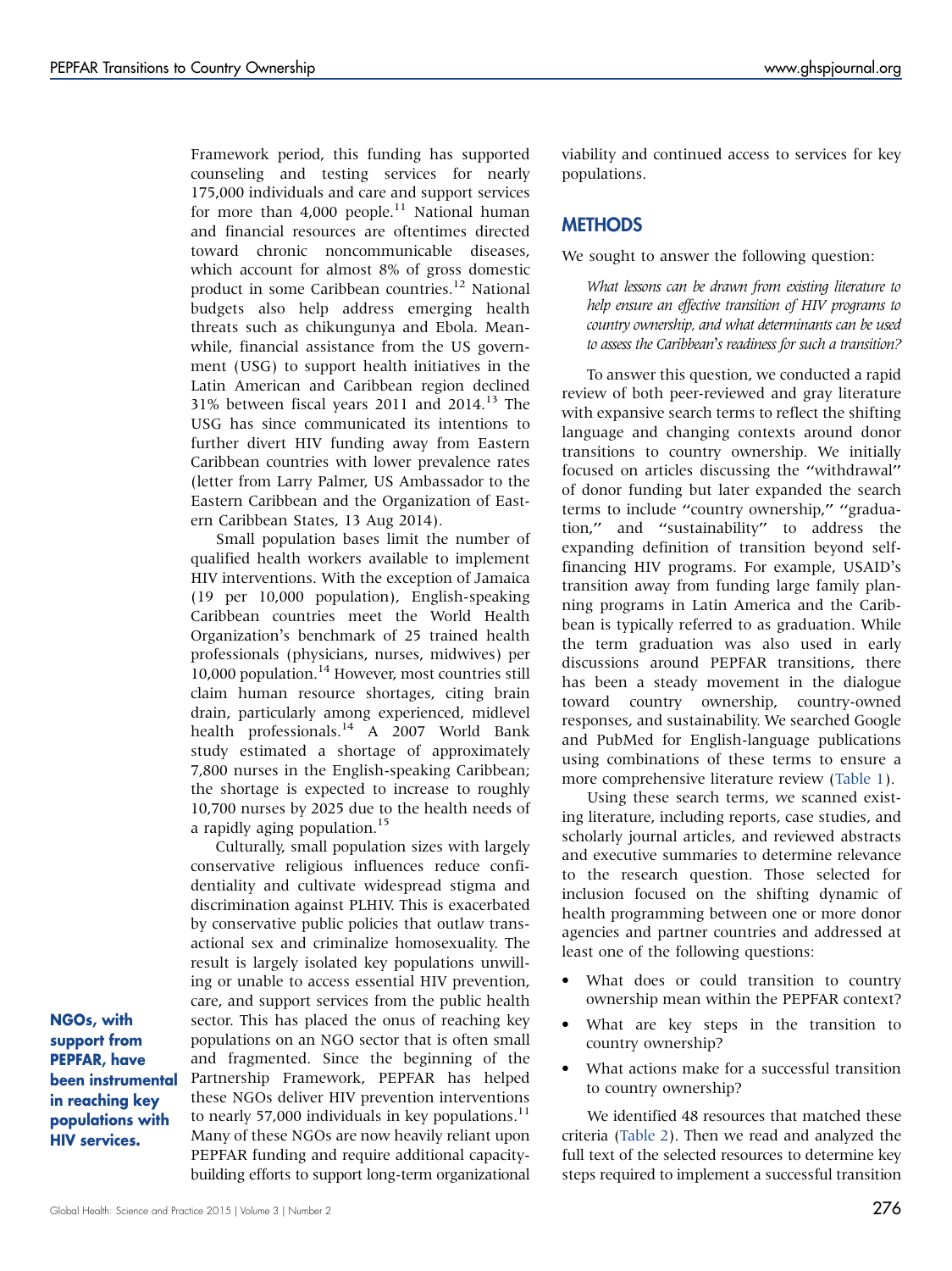Framework period, this funding has supported counseling and testing services for nearly 175,000 individuals and care and support services for more than  $4,000$  people.<sup>11</sup> National human and financial resources are oftentimes directed toward chronic noncommunicable diseases, which account for almost 8% of gross domestic product in some Caribbean countries.<sup>12</sup> National budgets also help address emerging health threats such as chikungunya and Ebola. Meanwhile, financial assistance from the US government (USG) to support health initiatives in the Latin American and Caribbean region declined 31% between fiscal years 2011 and 2014.<sup>13</sup> The USG has since communicated its intentions to further divert HIV funding away from Eastern Caribbean countries with lower prevalence rates (letter from Larry Palmer, US Ambassador to the Eastern Caribbean and the Organization of Eastern Caribbean States, 13 Aug 2014).

Small population bases limit the number of qualified health workers available to implement HIV interventions. With the exception of Jamaica (19 per 10,000 population), English-speaking Caribbean countries meet the World Health Organization's benchmark of 25 trained health professionals (physicians, nurses, midwives) per 10,000 population.<sup>14</sup> However, most countries still claim human resource shortages, citing brain drain, particularly among experienced, midlevel health professionals.<sup>14</sup> A 2007 World Bank study estimated a shortage of approximately 7,800 nurses in the English-speaking Caribbean; the shortage is expected to increase to roughly 10,700 nurses by 2025 due to the health needs of a rapidly aging population.<sup>15</sup>

Culturally, small population sizes with largely conservative religious influences reduce confidentiality and cultivate widespread stigma and discrimination against PLHIV. This is exacerbated by conservative public policies that outlaw transactional sex and criminalize homosexuality. The result is largely isolated key populations unwilling or unable to access essential HIV prevention, care, and support services from the public health sector. This has placed the onus of reaching key populations on an NGO sector that is often small and fragmented. Since the beginning of the Partnership Framework, PEPFAR has helped these NGOs deliver HIV prevention interventions to nearly 57,000 individuals in key populations. $^{11}$ Many of these NGOs are now heavily reliant upon PEPFAR funding and require additional capacitybuilding efforts to support long-term organizational

viability and continued access to services for key populations.

# **METHODS**

We sought to answer the following question:

What lessons can be drawn from existing literature to help ensure an effective transition of HIV programs to country ownership, and what determinants can be used to assess the Caribbean's readiness for such a transition?

To answer this question, we conducted a rapid review of both peer-reviewed and gray literature with expansive search terms to reflect the shifting language and changing contexts around donor transitions to country ownership. We initially focused on articles discussing the ''withdrawal'' of donor funding but later expanded the search terms to include "country ownership," "graduation,'' and ''sustainability'' to address the expanding definition of transition beyond selffinancing HIV programs. For example, USAID's transition away from funding large family planning programs in Latin America and the Caribbean is typically referred to as graduation. While the term graduation was also used in early discussions around PEPFAR transitions, there has been a steady movement in the dialogue toward country ownership, country-owned responses, and sustainability. We searched Google and PubMed for English-language publications using combinations of these terms to ensure a more comprehensive literature review ([Table 1\)](#page-3-0).

Using these search terms, we scanned existing literature, including reports, case studies, and scholarly journal articles, and reviewed abstracts and executive summaries to determine relevance to the research question. Those selected for inclusion focused on the shifting dynamic of health programming between one or more donor agencies and partner countries and addressed at least one of the following questions:

- What does or could transition to country ownership mean within the PEPFAR context?
- What are key steps in the transition to country ownership?
- What actions make for a successful transition to country ownership?

We identified 48 resources that matched these criteria [\(Table 2](#page-3-0)). Then we read and analyzed the full text of the selected resources to determine key steps required to implement a successful transition

NGOs, with support from PEPFAR, have been instrumental in reaching key populations with HIV services.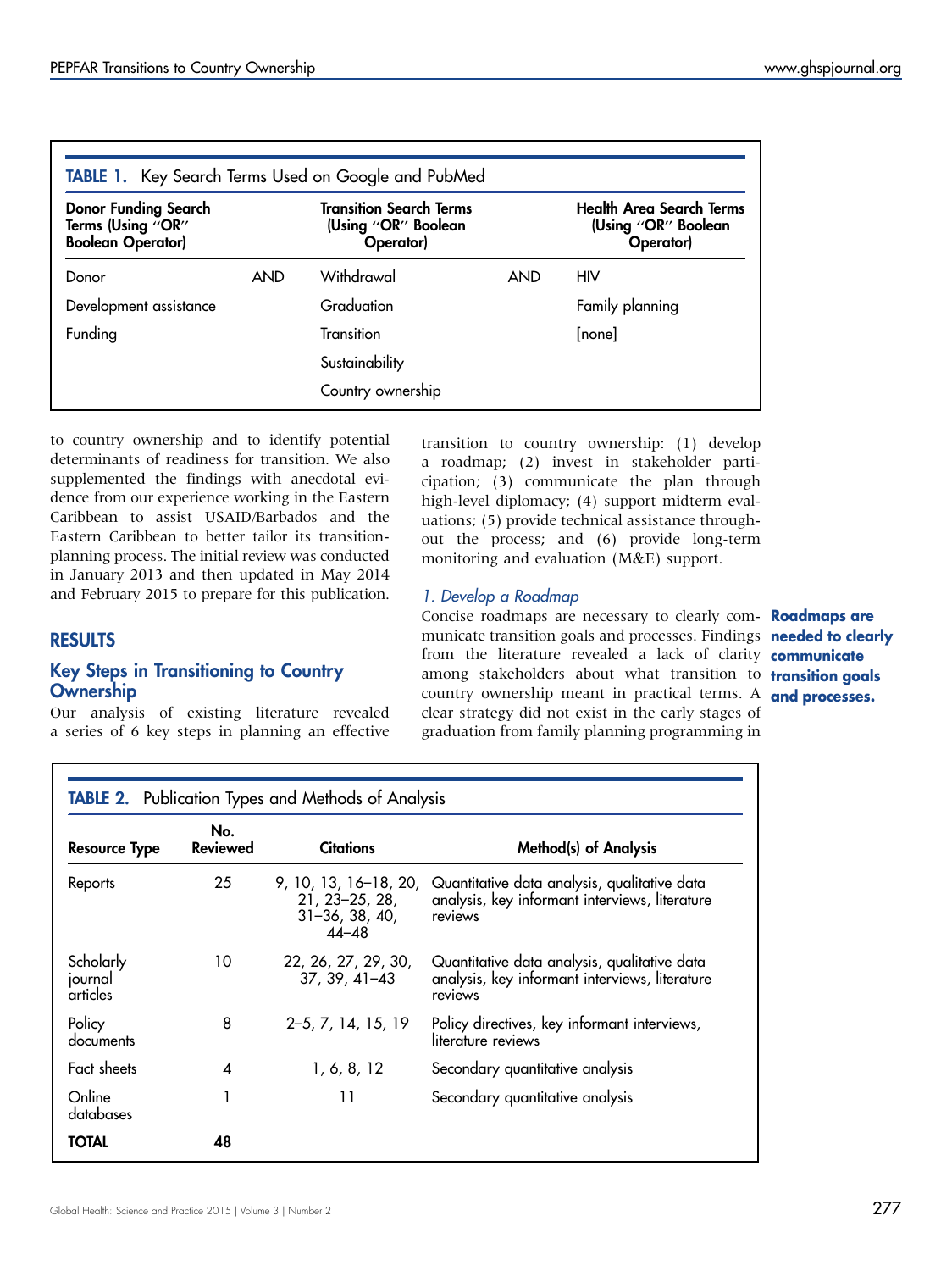<span id="page-3-0"></span>

| <b>TABLE 1.</b> Key Search Terms Used on Google and PubMed                   |            |                                                                    |            |                                                              |  |
|------------------------------------------------------------------------------|------------|--------------------------------------------------------------------|------------|--------------------------------------------------------------|--|
| <b>Donor Funding Search</b><br>Terms (Using "OR"<br><b>Boolean Operator)</b> |            | <b>Transition Search Terms</b><br>(Using "OR" Boolean<br>Operator) |            | Health Area Search Terms<br>(Using "OR" Boolean<br>Operator) |  |
| Donor                                                                        | <b>AND</b> | Withdrawal                                                         | <b>AND</b> | <b>HIV</b>                                                   |  |
| Development assistance                                                       |            | Graduation                                                         |            | Family planning                                              |  |
| Funding                                                                      |            | Transition                                                         |            | [none]                                                       |  |
|                                                                              |            | Sustainability                                                     |            |                                                              |  |
|                                                                              |            | Country ownership                                                  |            |                                                              |  |

to country ownership and to identify potential determinants of readiness for transition. We also supplemented the findings with anecdotal evidence from our experience working in the Eastern Caribbean to assist USAID/Barbados and the Eastern Caribbean to better tailor its transitionplanning process. The initial review was conducted in January 2013 and then updated in May 2014 and February 2015 to prepare for this publication.

# RESULTS

# Key Steps in Transitioning to Country **Ownership**

Our analysis of existing literature revealed a series of 6 key steps in planning an effective transition to country ownership: (1) develop a roadmap; (2) invest in stakeholder participation; (3) communicate the plan through high-level diplomacy; (4) support midterm evaluations; (5) provide technical assistance throughout the process; and (6) provide long-term monitoring and evaluation (M&E) support.

## 1. Develop a Roadmap

Concise roadmaps are necessary to clearly com- **Roadmaps are** municate transition goals and processes. Findings **needed to clearly** from the literature revealed a lack of clarity communicate among stakeholders about what transition to **transition goals** country ownership meant in practical terms. A and processes. clear strategy did not exist in the early stages of graduation from family planning programming in

| No.                              |                 |                                                                            |                                                                                                           |  |
|----------------------------------|-----------------|----------------------------------------------------------------------------|-----------------------------------------------------------------------------------------------------------|--|
| <b>Resource Type</b>             | <b>Reviewed</b> | <b>Citations</b>                                                           | <b>Method(s) of Analysis</b>                                                                              |  |
| Reports                          | 25              | 9, 10, 13, 16–18, 20,<br>21, 23–25, 28,<br>$31 - 36, 38, 40,$<br>$44 - 48$ | Quantitative data analysis, qualitative data<br>analysis, key informant interviews, literature<br>reviews |  |
| Scholarly<br>journal<br>articles | 10              | 22, 26, 27, 29, 30,<br>$37.39.41 - 43$                                     | Quantitative data analysis, qualitative data<br>analysis, key informant interviews, literature<br>reviews |  |
| Policy<br>documents              | 8               | 2–5, 7, 14, 15, 19                                                         | Policy directives, key informant interviews,<br>literature reviews                                        |  |
| <b>Fact sheets</b>               | 4               | 1, 6, 8, 12                                                                | Secondary quantitative analysis                                                                           |  |
| Online<br>databases              |                 | 11                                                                         | Secondary quantitative analysis                                                                           |  |
| <b>TOTAL</b>                     | 48              |                                                                            |                                                                                                           |  |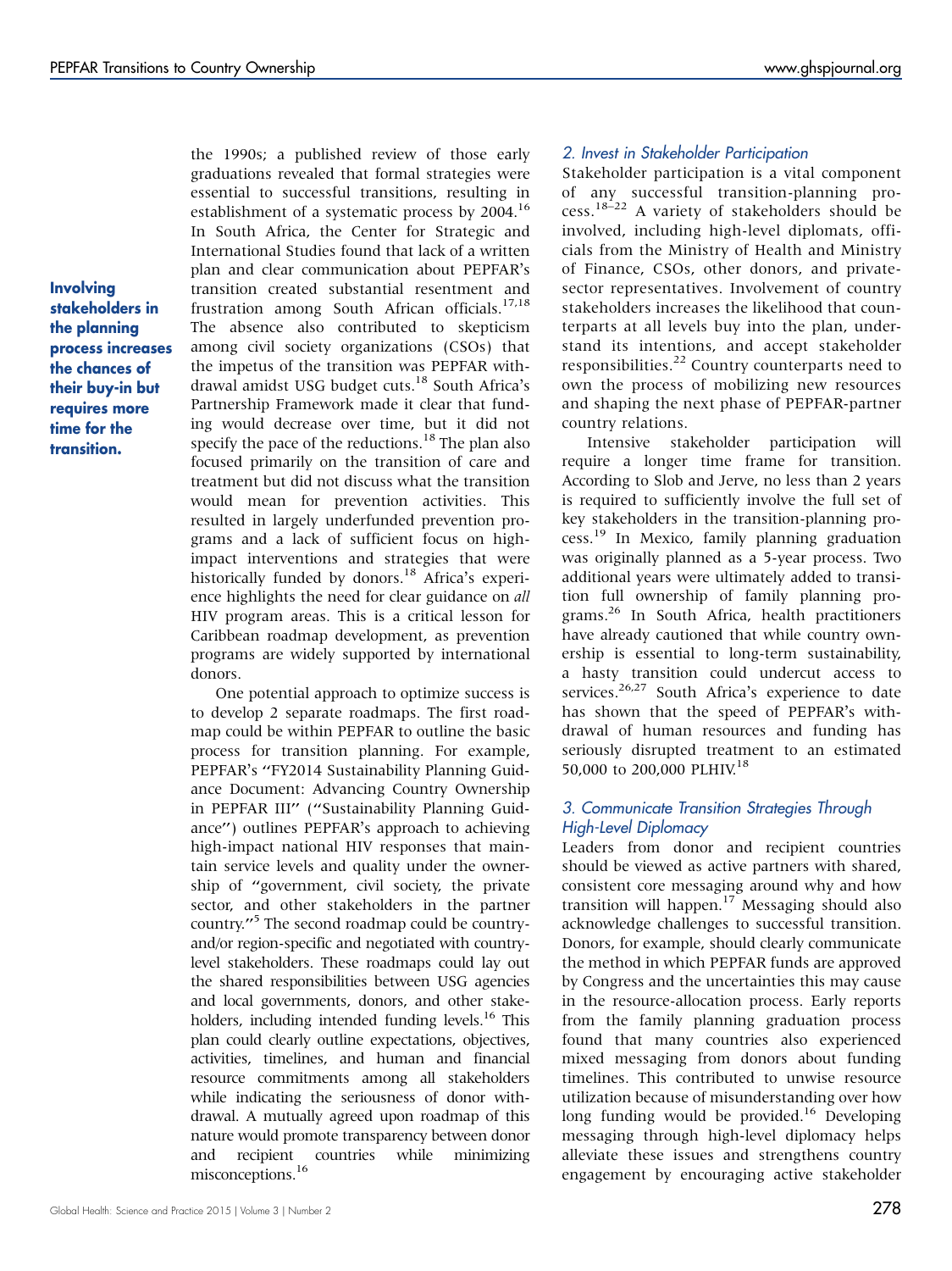Involving stakeholders in the planning process increases the chances of their buy-in but requires more time for the transition.

the 1990s; a published review of those early graduations revealed that formal strategies were essential to successful transitions, resulting in establishment of a systematic process by 2004.<sup>16</sup> In South Africa, the Center for Strategic and International Studies found that lack of a written plan and clear communication about PEPFAR's transition created substantial resentment and frustration among South African officials.<sup>17,18</sup> The absence also contributed to skepticism among civil society organizations (CSOs) that the impetus of the transition was PEPFAR withdrawal amidst USG budget cuts.<sup>18</sup> South Africa's Partnership Framework made it clear that funding would decrease over time, but it did not specify the pace of the reductions.<sup>18</sup> The plan also focused primarily on the transition of care and treatment but did not discuss what the transition would mean for prevention activities. This resulted in largely underfunded prevention programs and a lack of sufficient focus on highimpact interventions and strategies that were historically funded by donors.<sup>18</sup> Africa's experience highlights the need for clear guidance on all HIV program areas. This is a critical lesson for Caribbean roadmap development, as prevention programs are widely supported by international donors.

One potential approach to optimize success is to develop 2 separate roadmaps. The first roadmap could be within PEPFAR to outline the basic process for transition planning. For example, PEPFAR's ''FY2014 Sustainability Planning Guidance Document: Advancing Country Ownership in PEPFAR III" ("Sustainability Planning Guidance'') outlines PEPFAR's approach to achieving high-impact national HIV responses that maintain service levels and quality under the ownership of ''government, civil society, the private sector, and other stakeholders in the partner country.''<sup>5</sup> The second roadmap could be countryand/or region-specific and negotiated with countrylevel stakeholders. These roadmaps could lay out the shared responsibilities between USG agencies and local governments, donors, and other stakeholders, including intended funding levels. $16$  This plan could clearly outline expectations, objectives, activities, timelines, and human and financial resource commitments among all stakeholders while indicating the seriousness of donor withdrawal. A mutually agreed upon roadmap of this nature would promote transparency between donor and recipient countries while minimizing misconceptions.<sup>16</sup>

### 2. Invest in Stakeholder Participation

Stakeholder participation is a vital component of any successful transition-planning process.18–<sup>22</sup> A variety of stakeholders should be involved, including high-level diplomats, officials from the Ministry of Health and Ministry of Finance, CSOs, other donors, and privatesector representatives. Involvement of country stakeholders increases the likelihood that counterparts at all levels buy into the plan, understand its intentions, and accept stakeholder responsibilities.<sup>22</sup> Country counterparts need to own the process of mobilizing new resources and shaping the next phase of PEPFAR-partner country relations.

Intensive stakeholder participation will require a longer time frame for transition. According to Slob and Jerve, no less than 2 years is required to sufficiently involve the full set of key stakeholders in the transition-planning process.<sup>19</sup> In Mexico, family planning graduation was originally planned as a 5-year process. Two additional years were ultimately added to transition full ownership of family planning programs.26 In South Africa, health practitioners have already cautioned that while country ownership is essential to long-term sustainability, a hasty transition could undercut access to services.<sup>26,27</sup> South Africa's experience to date has shown that the speed of PEPFAR's withdrawal of human resources and funding has seriously disrupted treatment to an estimated 50,000 to 200,000 PLHIV.<sup>18</sup>

## 3. Communicate Transition Strategies Through High-Level Diplomacy

Leaders from donor and recipient countries should be viewed as active partners with shared, consistent core messaging around why and how transition will happen. $17$  Messaging should also acknowledge challenges to successful transition. Donors, for example, should clearly communicate the method in which PEPFAR funds are approved by Congress and the uncertainties this may cause in the resource-allocation process. Early reports from the family planning graduation process found that many countries also experienced mixed messaging from donors about funding timelines. This contributed to unwise resource utilization because of misunderstanding over how long funding would be provided.<sup>16</sup> Developing messaging through high-level diplomacy helps alleviate these issues and strengthens country engagement by encouraging active stakeholder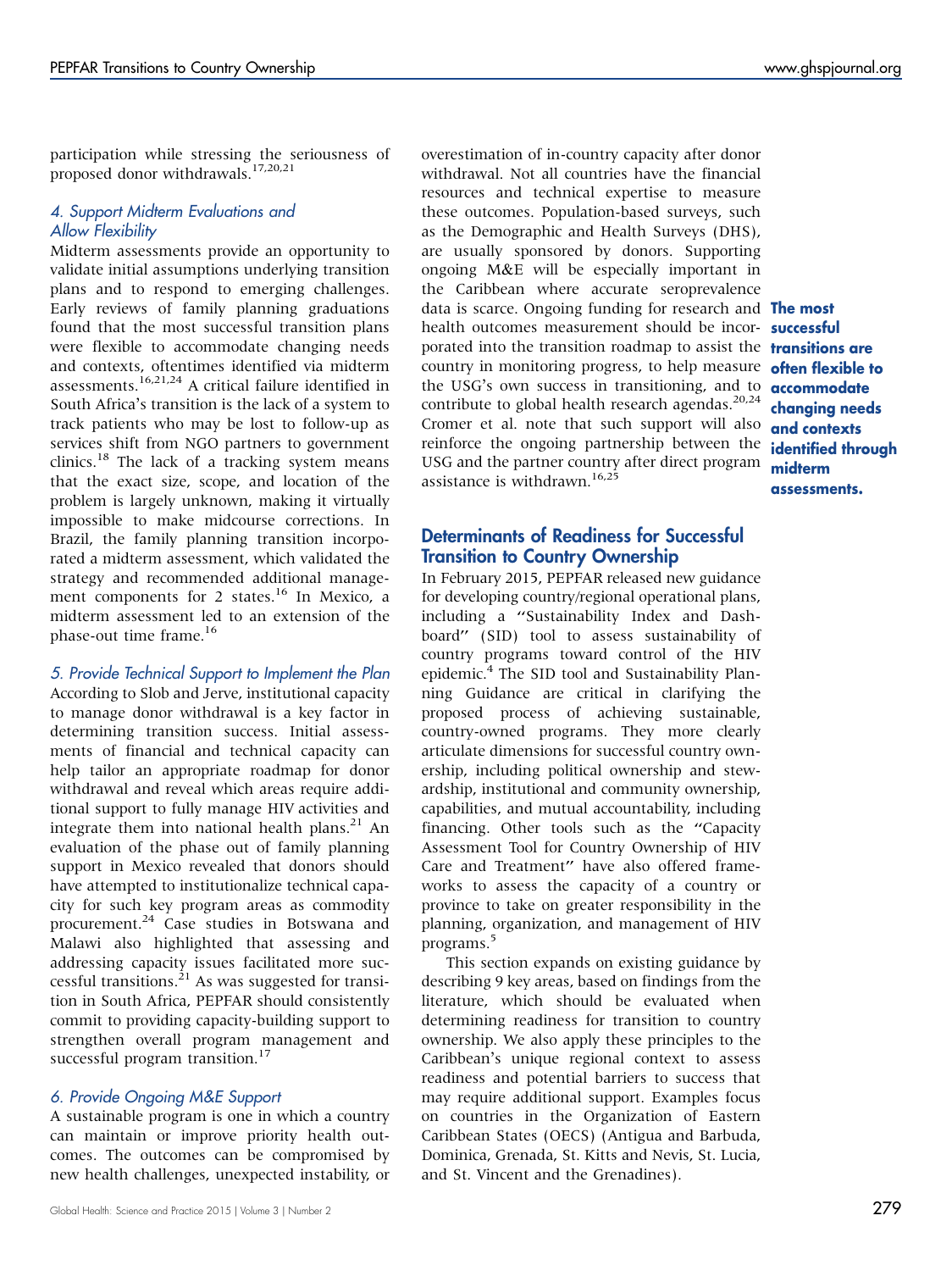participation while stressing the seriousness of proposed donor withdrawals.17,20,21

## 4. Support Midterm Evaluations and Allow Flexibility

Midterm assessments provide an opportunity to validate initial assumptions underlying transition plans and to respond to emerging challenges. Early reviews of family planning graduations found that the most successful transition plans were flexible to accommodate changing needs and contexts, oftentimes identified via midterm assessments.16,21,24 A critical failure identified in South Africa's transition is the lack of a system to track patients who may be lost to follow-up as services shift from NGO partners to government clinics.<sup>18</sup> The lack of a tracking system means that the exact size, scope, and location of the problem is largely unknown, making it virtually impossible to make midcourse corrections. In Brazil, the family planning transition incorporated a midterm assessment, which validated the strategy and recommended additional management components for 2 states.<sup>16</sup> In Mexico, a midterm assessment led to an extension of the phase-out time frame.<sup>16</sup>

## 5. Provide Technical Support to Implement the Plan

According to Slob and Jerve, institutional capacity to manage donor withdrawal is a key factor in determining transition success. Initial assessments of financial and technical capacity can help tailor an appropriate roadmap for donor withdrawal and reveal which areas require additional support to fully manage HIV activities and integrate them into national health plans. $^{21}$  An evaluation of the phase out of family planning support in Mexico revealed that donors should have attempted to institutionalize technical capacity for such key program areas as commodity procurement.<sup>24</sup> Case studies in Botswana and Malawi also highlighted that assessing and addressing capacity issues facilitated more successful transitions. $^{21}$  As was suggested for transition in South Africa, PEPFAR should consistently commit to providing capacity-building support to strengthen overall program management and successful program transition.<sup>17</sup>

#### 6. Provide Ongoing M&E Support

A sustainable program is one in which a country can maintain or improve priority health outcomes. The outcomes can be compromised by new health challenges, unexpected instability, or

withdrawal. Not all countries have the financial resources and technical expertise to measure these outcomes. Population-based surveys, such as the Demographic and Health Surveys (DHS), are usually sponsored by donors. Supporting ongoing M&E will be especially important in the Caribbean where accurate seroprevalence data is scarce. Ongoing funding for research and The most health outcomes measurement should be incor- successful porated into the transition roadmap to assist the **transitions are** country in monitoring progress, to help measure **often flexible to** the USG's own success in transitioning, and to contribute to global health research agendas. $20,24$ Cromer et al. note that such support will also reinforce the ongoing partnership between the USG and the partner country after direct program  $mid$ assistance is withdrawn.<sup>16,25</sup>

overestimation of in-country capacity after donor

accommodate changing needs and contexts identified through assessments.

# Determinants of Readiness for Successful Transition to Country Ownership

In February 2015, PEPFAR released new guidance for developing country/regional operational plans, including a ''Sustainability Index and Dashboard'' (SID) tool to assess sustainability of country programs toward control of the HIV epidemic.<sup>4</sup> The SID tool and Sustainability Planning Guidance are critical in clarifying the proposed process of achieving sustainable, country-owned programs. They more clearly articulate dimensions for successful country ownership, including political ownership and stewardship, institutional and community ownership, capabilities, and mutual accountability, including financing. Other tools such as the ''Capacity Assessment Tool for Country Ownership of HIV Care and Treatment'' have also offered frameworks to assess the capacity of a country or province to take on greater responsibility in the planning, organization, and management of HIV programs.<sup>5</sup>

This section expands on existing guidance by describing 9 key areas, based on findings from the literature, which should be evaluated when determining readiness for transition to country ownership. We also apply these principles to the Caribbean's unique regional context to assess readiness and potential barriers to success that may require additional support. Examples focus on countries in the Organization of Eastern Caribbean States (OECS) (Antigua and Barbuda, Dominica, Grenada, St. Kitts and Nevis, St. Lucia, and St. Vincent and the Grenadines).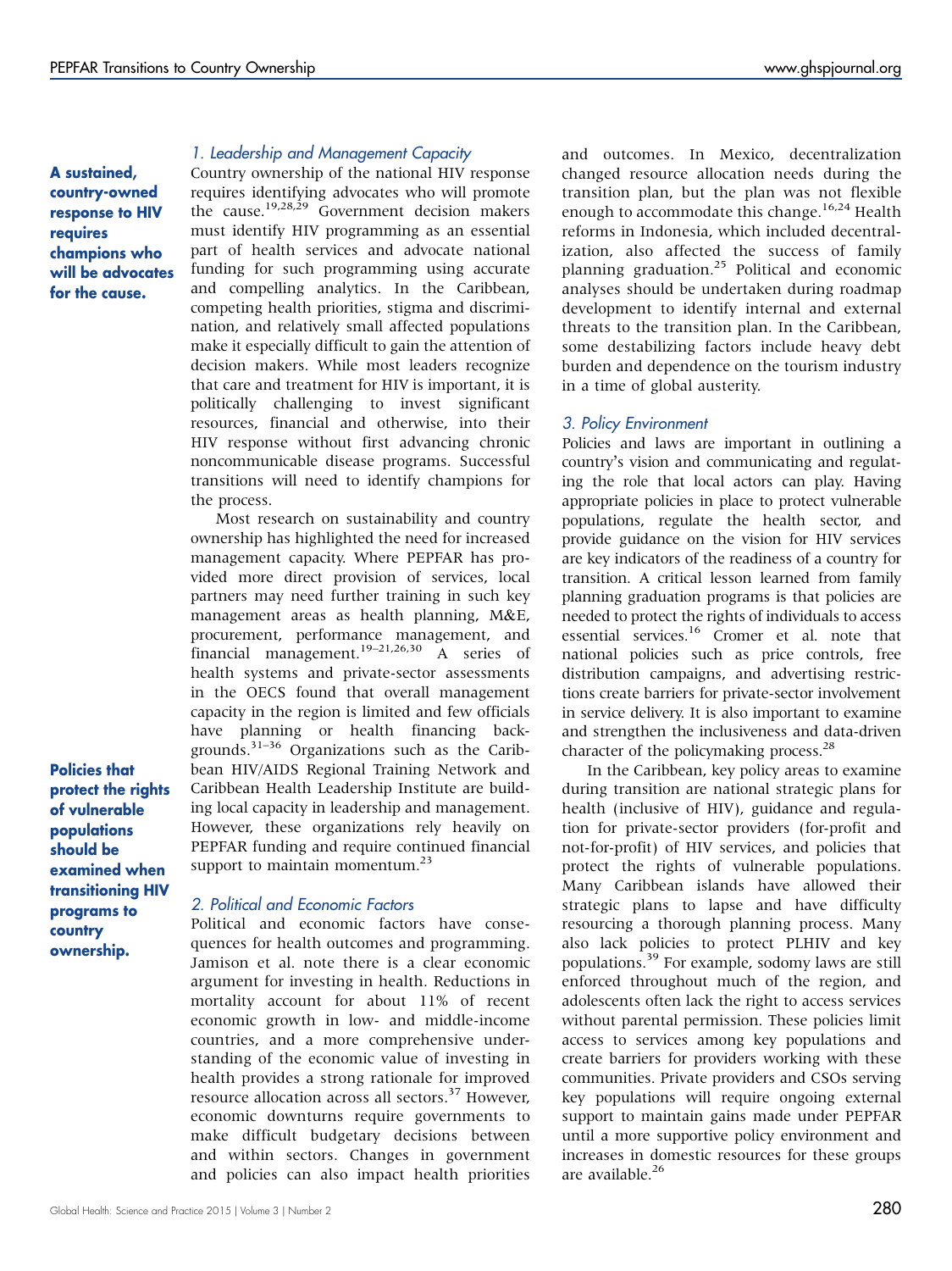A sustained, country-owned response to HIV requires champions who will be advocates for the cause.

Policies that protect the rights of vulnerable populations should be examined when transitioning HIV programs to country ownership.

## 1. Leadership and Management Capacity

Country ownership of the national HIV response requires identifying advocates who will promote the cause.<sup>19,28,29</sup> Government decision makers must identify HIV programming as an essential part of health services and advocate national funding for such programming using accurate and compelling analytics. In the Caribbean, competing health priorities, stigma and discrimination, and relatively small affected populations make it especially difficult to gain the attention of decision makers. While most leaders recognize that care and treatment for HIV is important, it is politically challenging to invest significant resources, financial and otherwise, into their HIV response without first advancing chronic noncommunicable disease programs. Successful transitions will need to identify champions for the process.

Most research on sustainability and country ownership has highlighted the need for increased management capacity. Where PEPFAR has provided more direct provision of services, local partners may need further training in such key management areas as health planning, M&E, procurement, performance management, and financial management.19–21,26,30 A series of health systems and private-sector assessments in the OECS found that overall management capacity in the region is limited and few officials have planning or health financing backgrounds.<sup>31–36</sup> Organizations such as the Caribbean HIV/AIDS Regional Training Network and Caribbean Health Leadership Institute are building local capacity in leadership and management. However, these organizations rely heavily on PEPFAR funding and require continued financial support to maintain momentum.<sup>23</sup>

#### 2. Political and Economic Factors

Political and economic factors have consequences for health outcomes and programming. Jamison et al. note there is a clear economic argument for investing in health. Reductions in mortality account for about 11% of recent economic growth in low- and middle-income countries, and a more comprehensive understanding of the economic value of investing in health provides a strong rationale for improved resource allocation across all sectors.<sup>37</sup> However, economic downturns require governments to make difficult budgetary decisions between and within sectors. Changes in government and policies can also impact health priorities

and outcomes. In Mexico, decentralization changed resource allocation needs during the transition plan, but the plan was not flexible enough to accommodate this change.<sup>16,24</sup> Health reforms in Indonesia, which included decentralization, also affected the success of family planning graduation.<sup>25</sup> Political and economic analyses should be undertaken during roadmap development to identify internal and external threats to the transition plan. In the Caribbean, some destabilizing factors include heavy debt burden and dependence on the tourism industry in a time of global austerity.

#### 3. Policy Environment

Policies and laws are important in outlining a country's vision and communicating and regulating the role that local actors can play. Having appropriate policies in place to protect vulnerable populations, regulate the health sector, and provide guidance on the vision for HIV services are key indicators of the readiness of a country for transition. A critical lesson learned from family planning graduation programs is that policies are needed to protect the rights of individuals to access essential services.<sup>16</sup> Cromer et al. note that national policies such as price controls, free distribution campaigns, and advertising restrictions create barriers for private-sector involvement in service delivery. It is also important to examine and strengthen the inclusiveness and data-driven character of the policymaking process.28

In the Caribbean, key policy areas to examine during transition are national strategic plans for health (inclusive of HIV), guidance and regulation for private-sector providers (for-profit and not-for-profit) of HIV services, and policies that protect the rights of vulnerable populations. Many Caribbean islands have allowed their strategic plans to lapse and have difficulty resourcing a thorough planning process. Many also lack policies to protect PLHIV and key populations.<sup>39</sup> For example, sodomy laws are still enforced throughout much of the region, and adolescents often lack the right to access services without parental permission. These policies limit access to services among key populations and create barriers for providers working with these communities. Private providers and CSOs serving key populations will require ongoing external support to maintain gains made under PEPFAR until a more supportive policy environment and increases in domestic resources for these groups are available.<sup>26</sup>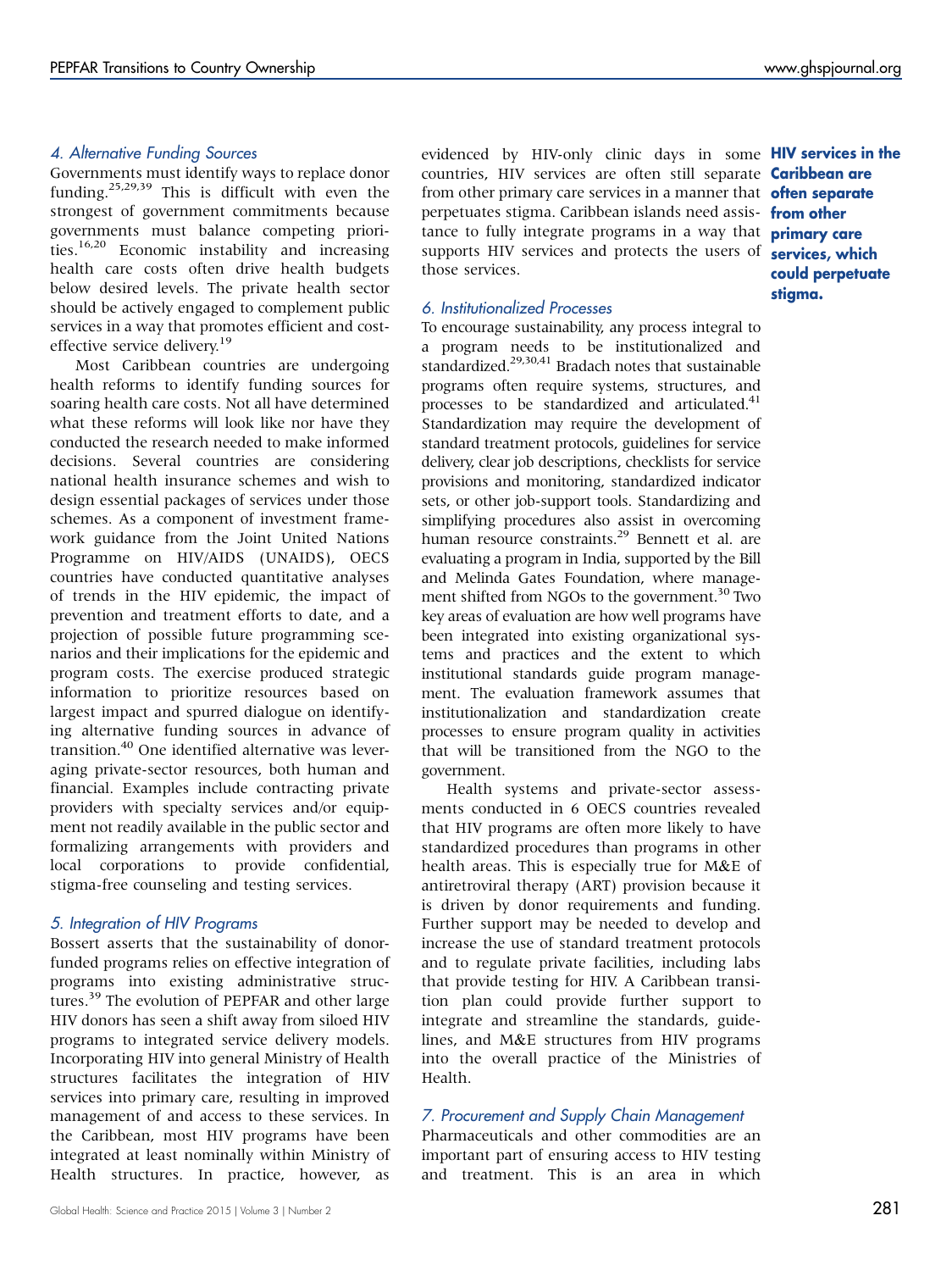### 4. Alternative Funding Sources

Governments must identify ways to replace donor funding.25,29,39 This is difficult with even the strongest of government commitments because governments must balance competing priorities.16,20 Economic instability and increasing health care costs often drive health budgets below desired levels. The private health sector should be actively engaged to complement public services in a way that promotes efficient and costeffective service delivery.<sup>19</sup>

Most Caribbean countries are undergoing health reforms to identify funding sources for soaring health care costs. Not all have determined what these reforms will look like nor have they conducted the research needed to make informed decisions. Several countries are considering national health insurance schemes and wish to design essential packages of services under those schemes. As a component of investment framework guidance from the Joint United Nations Programme on HIV/AIDS (UNAIDS), OECS countries have conducted quantitative analyses of trends in the HIV epidemic, the impact of prevention and treatment efforts to date, and a projection of possible future programming scenarios and their implications for the epidemic and program costs. The exercise produced strategic information to prioritize resources based on largest impact and spurred dialogue on identifying alternative funding sources in advance of transition.<sup>40</sup> One identified alternative was leveraging private-sector resources, both human and financial. Examples include contracting private providers with specialty services and/or equipment not readily available in the public sector and formalizing arrangements with providers and local corporations to provide confidential, stigma-free counseling and testing services.

## 5. Integration of HIV Programs

Bossert asserts that the sustainability of donorfunded programs relies on effective integration of programs into existing administrative structures.<sup>39</sup> The evolution of PEPFAR and other large HIV donors has seen a shift away from siloed HIV programs to integrated service delivery models. Incorporating HIV into general Ministry of Health structures facilitates the integration of HIV services into primary care, resulting in improved management of and access to these services. In the Caribbean, most HIV programs have been integrated at least nominally within Ministry of Health structures. In practice, however, as

evidenced by HIV-only clinic days in some HIV services in the countries, HIV services are often still separate **Caribbean are** from other primary care services in a manner that **often separate** perpetuates stigma. Caribbean islands need assis- from other tance to fully integrate programs in a way that **primary care** supports HIV services and protects the users of **services, which** those services.

## 6. Institutionalized Processes

To encourage sustainability, any process integral to a program needs to be institutionalized and standardized.<sup>29,30,41</sup> Bradach notes that sustainable programs often require systems, structures, and processes to be standardized and articulated.<sup>41</sup> Standardization may require the development of standard treatment protocols, guidelines for service delivery, clear job descriptions, checklists for service provisions and monitoring, standardized indicator sets, or other job-support tools. Standardizing and simplifying procedures also assist in overcoming human resource constraints.<sup>29</sup> Bennett et al. are evaluating a program in India, supported by the Bill and Melinda Gates Foundation, where management shifted from NGOs to the government.<sup>30</sup> Two key areas of evaluation are how well programs have been integrated into existing organizational systems and practices and the extent to which institutional standards guide program management. The evaluation framework assumes that institutionalization and standardization create processes to ensure program quality in activities that will be transitioned from the NGO to the government.

Health systems and private-sector assessments conducted in 6 OECS countries revealed that HIV programs are often more likely to have standardized procedures than programs in other health areas. This is especially true for M&E of antiretroviral therapy (ART) provision because it is driven by donor requirements and funding. Further support may be needed to develop and increase the use of standard treatment protocols and to regulate private facilities, including labs that provide testing for HIV. A Caribbean transition plan could provide further support to integrate and streamline the standards, guidelines, and M&E structures from HIV programs into the overall practice of the Ministries of Health.

## 7. Procurement and Supply Chain Management

Pharmaceuticals and other commodities are an important part of ensuring access to HIV testing and treatment. This is an area in which

could perpetuate stigma.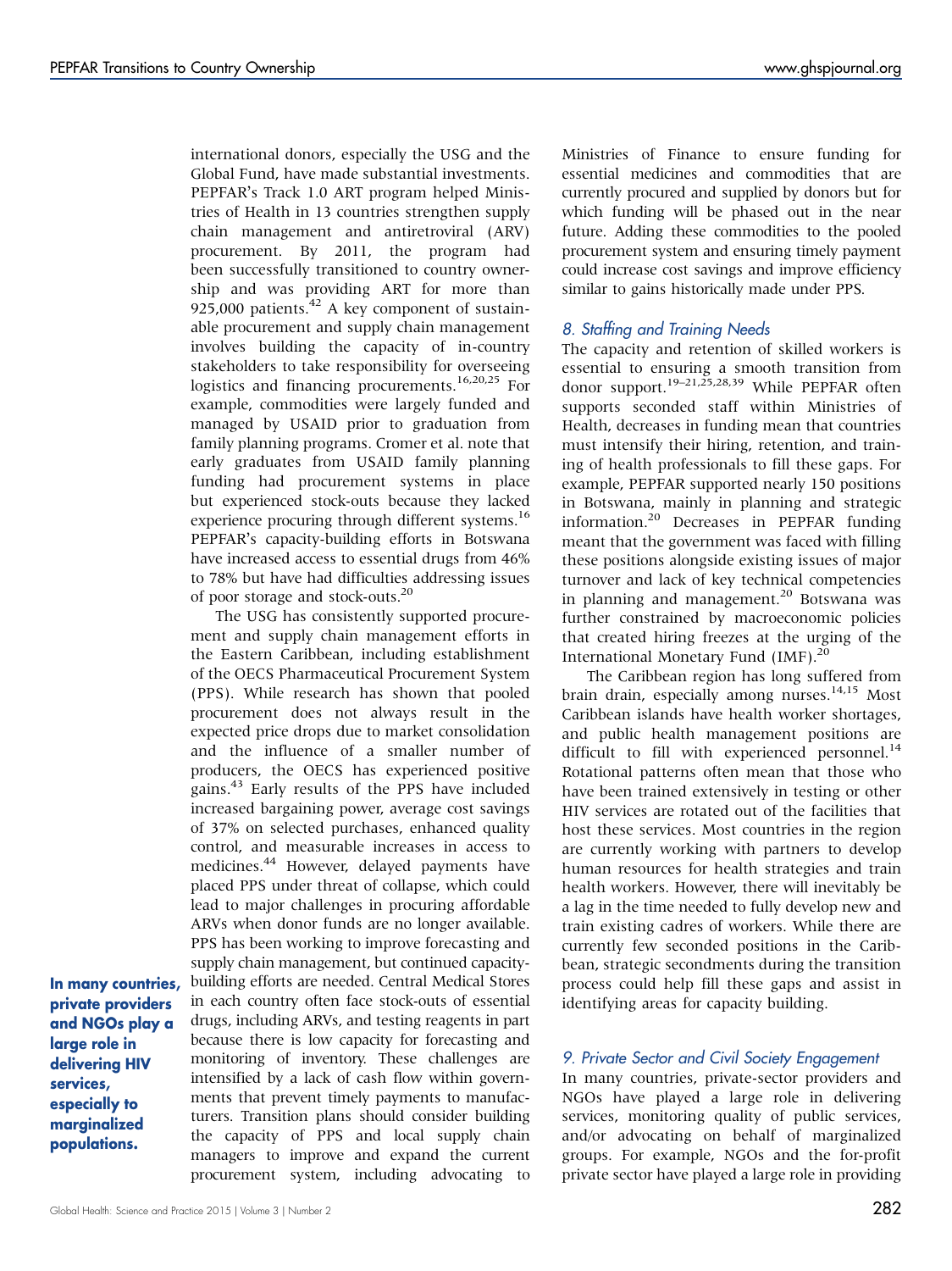international donors, especially the USG and the Global Fund, have made substantial investments. PEPFAR's Track 1.0 ART program helped Ministries of Health in 13 countries strengthen supply chain management and antiretroviral (ARV) procurement. By 2011, the program had been successfully transitioned to country ownership and was providing ART for more than 925,000 patients. $42$  A key component of sustainable procurement and supply chain management involves building the capacity of in-country stakeholders to take responsibility for overseeing logistics and financing procurements.<sup>16,20,25</sup> For example, commodities were largely funded and managed by USAID prior to graduation from family planning programs. Cromer et al. note that early graduates from USAID family planning funding had procurement systems in place but experienced stock-outs because they lacked experience procuring through different systems.<sup>16</sup> PEPFAR's capacity-building efforts in Botswana have increased access to essential drugs from 46% to 78% but have had difficulties addressing issues of poor storage and stock-outs.20

The USG has consistently supported procurement and supply chain management efforts in the Eastern Caribbean, including establishment of the OECS Pharmaceutical Procurement System (PPS). While research has shown that pooled procurement does not always result in the expected price drops due to market consolidation and the influence of a smaller number of producers, the OECS has experienced positive gains.<sup>43</sup> Early results of the PPS have included increased bargaining power, average cost savings of 37% on selected purchases, enhanced quality control, and measurable increases in access to medicines.<sup>44</sup> However, delayed payments have placed PPS under threat of collapse, which could lead to major challenges in procuring affordable ARVs when donor funds are no longer available. PPS has been working to improve forecasting and supply chain management, but continued capacitybuilding efforts are needed. Central Medical Stores in each country often face stock-outs of essential drugs, including ARVs, and testing reagents in part because there is low capacity for forecasting and monitoring of inventory. These challenges are intensified by a lack of cash flow within governments that prevent timely payments to manufacturers. Transition plans should consider building the capacity of PPS and local supply chain managers to improve and expand the current procurement system, including advocating to

In many countries, private providers and NGOs play a large role in delivering HIV services, especially to marginalized populations.

Ministries of Finance to ensure funding for essential medicines and commodities that are currently procured and supplied by donors but for which funding will be phased out in the near future. Adding these commodities to the pooled procurement system and ensuring timely payment could increase cost savings and improve efficiency similar to gains historically made under PPS.

#### 8. Staffing and Training Needs

The capacity and retention of skilled workers is essential to ensuring a smooth transition from donor support.<sup>19–21,25,28,39</sup> While PEPFAR often supports seconded staff within Ministries of Health, decreases in funding mean that countries must intensify their hiring, retention, and training of health professionals to fill these gaps. For example, PEPFAR supported nearly 150 positions in Botswana, mainly in planning and strategic information.20 Decreases in PEPFAR funding meant that the government was faced with filling these positions alongside existing issues of major turnover and lack of key technical competencies in planning and management.<sup>20</sup> Botswana was further constrained by macroeconomic policies that created hiring freezes at the urging of the International Monetary Fund (IMF).20

The Caribbean region has long suffered from brain drain, especially among nurses.<sup>14,15</sup> Most Caribbean islands have health worker shortages, and public health management positions are difficult to fill with experienced personnel. $^{14}$ Rotational patterns often mean that those who have been trained extensively in testing or other HIV services are rotated out of the facilities that host these services. Most countries in the region are currently working with partners to develop human resources for health strategies and train health workers. However, there will inevitably be a lag in the time needed to fully develop new and train existing cadres of workers. While there are currently few seconded positions in the Caribbean, strategic secondments during the transition process could help fill these gaps and assist in identifying areas for capacity building.

#### 9. Private Sector and Civil Society Engagement

In many countries, private-sector providers and NGOs have played a large role in delivering services, monitoring quality of public services, and/or advocating on behalf of marginalized groups. For example, NGOs and the for-profit private sector have played a large role in providing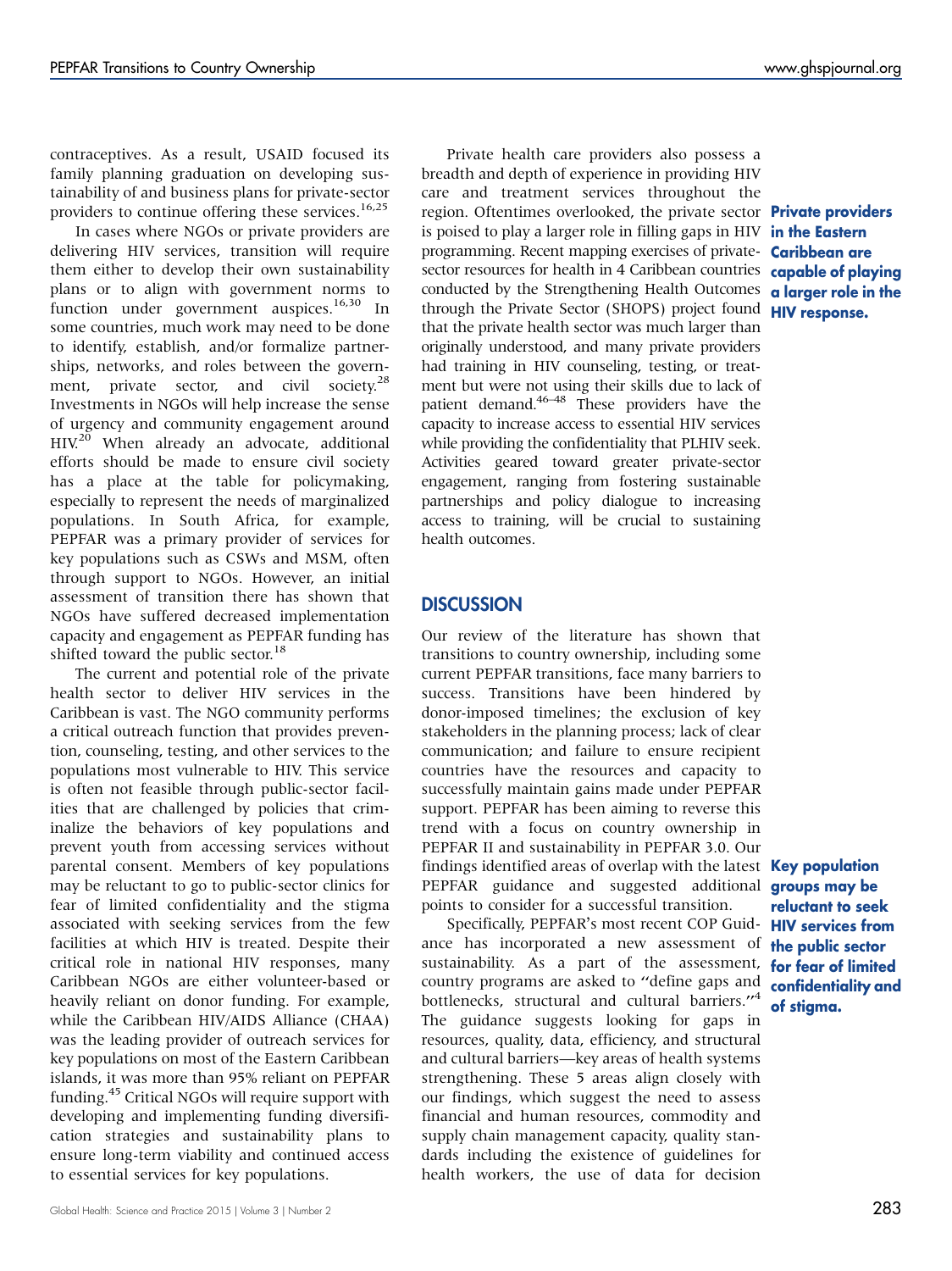Caribbean are capable of playing a larger role in the

contraceptives. As a result, USAID focused its family planning graduation on developing sustainability of and business plans for private-sector providers to continue offering these services.<sup>16,25</sup>

In cases where NGOs or private providers are delivering HIV services, transition will require them either to develop their own sustainability plans or to align with government norms to function under government auspices.<sup>16,30</sup> In some countries, much work may need to be done to identify, establish, and/or formalize partnerships, networks, and roles between the government, private sector, and civil society.<sup>28</sup> Investments in NGOs will help increase the sense of urgency and community engagement around HIV.<sup>20</sup> When already an advocate, additional efforts should be made to ensure civil society has a place at the table for policymaking, especially to represent the needs of marginalized populations. In South Africa, for example, PEPFAR was a primary provider of services for key populations such as CSWs and MSM, often through support to NGOs. However, an initial assessment of transition there has shown that NGOs have suffered decreased implementation capacity and engagement as PEPFAR funding has shifted toward the public sector. $18$ 

The current and potential role of the private health sector to deliver HIV services in the Caribbean is vast. The NGO community performs a critical outreach function that provides prevention, counseling, testing, and other services to the populations most vulnerable to HIV. This service is often not feasible through public-sector facilities that are challenged by policies that criminalize the behaviors of key populations and prevent youth from accessing services without parental consent. Members of key populations may be reluctant to go to public-sector clinics for fear of limited confidentiality and the stigma associated with seeking services from the few facilities at which HIV is treated. Despite their critical role in national HIV responses, many Caribbean NGOs are either volunteer-based or heavily reliant on donor funding. For example, while the Caribbean HIV/AIDS Alliance (CHAA) was the leading provider of outreach services for key populations on most of the Eastern Caribbean islands, it was more than 95% reliant on PEPFAR funding.<sup>45</sup> Critical NGOs will require support with developing and implementing funding diversification strategies and sustainability plans to ensure long-term viability and continued access to essential services for key populations.

Private health care providers also possess a breadth and depth of experience in providing HIV care and treatment services throughout the region. Oftentimes overlooked, the private sector Private providers is poised to play a larger role in filling gaps in HIV **in the Eastern** programming. Recent mapping exercises of privatesector resources for health in 4 Caribbean countries conducted by the Strengthening Health Outcomes through the Private Sector (SHOPS) project found **HIV response.** that the private health sector was much larger than originally understood, and many private providers had training in HIV counseling, testing, or treatment but were not using their skills due to lack of patient demand.<sup>46–48</sup> These providers have the capacity to increase access to essential HIV services while providing the confidentiality that PLHIV seek. Activities geared toward greater private-sector engagement, ranging from fostering sustainable partnerships and policy dialogue to increasing access to training, will be crucial to sustaining health outcomes.

# **DISCUSSION**

Our review of the literature has shown that transitions to country ownership, including some current PEPFAR transitions, face many barriers to success. Transitions have been hindered by donor-imposed timelines; the exclusion of key stakeholders in the planning process; lack of clear communication; and failure to ensure recipient countries have the resources and capacity to successfully maintain gains made under PEPFAR support. PEPFAR has been aiming to reverse this trend with a focus on country ownership in PEPFAR II and sustainability in PEPFAR 3.0. Our findings identified areas of overlap with the latest **Key population** PEPFAR guidance and suggested additional points to consider for a successful transition.

Specifically, PEPFAR's most recent COP Guid- **HIV services from** ance has incorporated a new assessment of sustainability. As a part of the assessment, country programs are asked to ''define gaps and bottlenecks, structural and cultural barriers."<sup>4</sup> The guidance suggests looking for gaps in resources, quality, data, efficiency, and structural and cultural barriers—key areas of health systems strengthening. These 5 areas align closely with our findings, which suggest the need to assess financial and human resources, commodity and supply chain management capacity, quality standards including the existence of guidelines for health workers, the use of data for decision

groups may be reluctant to seek the public sector for fear of limited confidentiality and of stigma.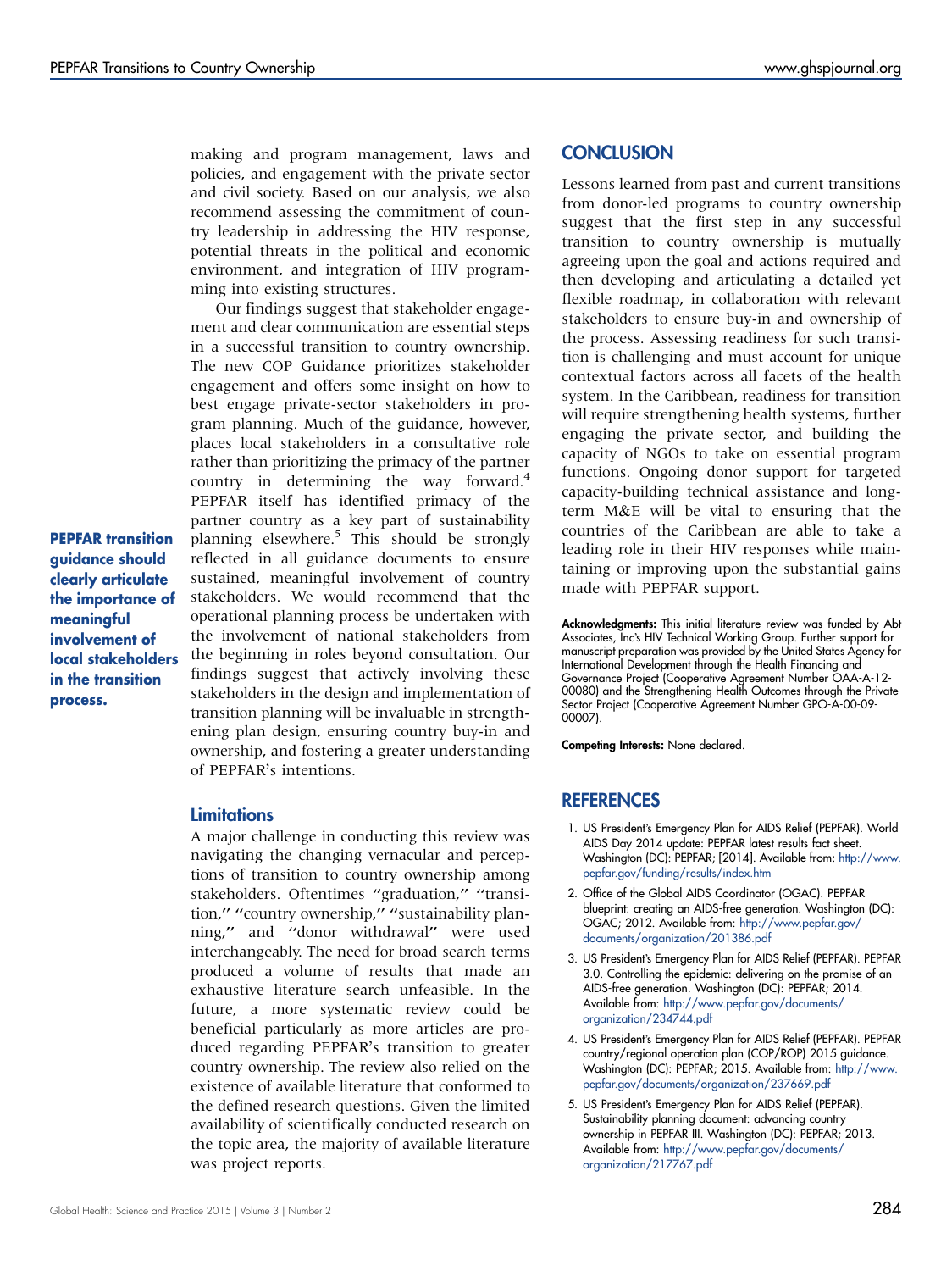making and program management, laws and policies, and engagement with the private sector and civil society. Based on our analysis, we also recommend assessing the commitment of country leadership in addressing the HIV response, potential threats in the political and economic environment, and integration of HIV programming into existing structures.

Our findings suggest that stakeholder engagement and clear communication are essential steps in a successful transition to country ownership. The new COP Guidance prioritizes stakeholder engagement and offers some insight on how to best engage private-sector stakeholders in program planning. Much of the guidance, however, places local stakeholders in a consultative role rather than prioritizing the primacy of the partner country in determining the way forward.<sup>4</sup> PEPFAR itself has identified primacy of the partner country as a key part of sustainability planning elsewhere.<sup>5</sup> This should be strongly reflected in all guidance documents to ensure sustained, meaningful involvement of country stakeholders. We would recommend that the operational planning process be undertaken with the involvement of national stakeholders from the beginning in roles beyond consultation. Our findings suggest that actively involving these stakeholders in the design and implementation of transition planning will be invaluable in strengthening plan design, ensuring country buy-in and ownership, and fostering a greater understanding of PEPFAR's intentions.

## **Limitations**

A major challenge in conducting this review was navigating the changing vernacular and perceptions of transition to country ownership among stakeholders. Oftentimes "graduation," "transition," "country ownership," "sustainability planning,'' and ''donor withdrawal'' were used interchangeably. The need for broad search terms produced a volume of results that made an exhaustive literature search unfeasible. In the future, a more systematic review could be beneficial particularly as more articles are produced regarding PEPFAR's transition to greater country ownership. The review also relied on the existence of available literature that conformed to the defined research questions. Given the limited availability of scientifically conducted research on the topic area, the majority of available literature was project reports.

# **CONCLUSION**

Lessons learned from past and current transitions from donor-led programs to country ownership suggest that the first step in any successful transition to country ownership is mutually agreeing upon the goal and actions required and then developing and articulating a detailed yet flexible roadmap, in collaboration with relevant stakeholders to ensure buy-in and ownership of the process. Assessing readiness for such transition is challenging and must account for unique contextual factors across all facets of the health system. In the Caribbean, readiness for transition will require strengthening health systems, further engaging the private sector, and building the capacity of NGOs to take on essential program functions. Ongoing donor support for targeted capacity-building technical assistance and longterm M&E will be vital to ensuring that the countries of the Caribbean are able to take a leading role in their HIV responses while maintaining or improving upon the substantial gains made with PEPFAR support.

**Acknowledgments:** This initial literature review was funded by Abt<br>Associates, Inc's HIV Technical Working Group. Further support for manuscript preparation was provided by the United States Agency for International Development through the Health Financing and Governance Project (Cooperative Agreement Number OAA-A-12- 00080) and the Strengthening Health Outcomes through the Private Sector Project (Cooperative Agreement Number GPO-A-00-09- 00007).

Competing Interests: None declared.

## **REFERENCES**

- 1. US President's Emergency Plan for AIDS Relief (PEPFAR). World AIDS Day 2014 update: PEPFAR latest results fact sheet. Washington (DC): PEPFAR; [2014]. Available from: [http://www.](http://www.pepfar.gov/funding/results/index.htm) [pepfar.gov/funding/results/index.htm](http://www.pepfar.gov/funding/results/index.htm)
- 2. Office of the Global AIDS Coordinator (OGAC). PEPFAR blueprint: creating an AIDS-free generation. Washington (DC): OGAC; 2012. Available from: [http://www.pepfar.gov/](http://www.pepfar.gov/documents/organization/201386.pdf) [documents/organization/201386.pdf](http://www.pepfar.gov/documents/organization/201386.pdf)
- 3. US President's Emergency Plan for AIDS Relief (PEPFAR). PEPFAR 3.0. Controlling the epidemic: delivering on the promise of an AIDS-free generation. Washington (DC): PEPFAR; 2014. Available from: [http://www.pepfar.gov/documents/](http://www.pepfar.gov/documents/organization/234744.pdf) [organization/234744.pdf](http://www.pepfar.gov/documents/organization/234744.pdf)
- 4. US President's Emergency Plan for AIDS Relief (PEPFAR). PEPFAR country/regional operation plan (COP/ROP) 2015 guidance. Washington (DC): PEPFAR; 2015. Available from: [http://www.](http://www.pepfar.gov/documents/organization/237669.pdf) [pepfar.gov/documents/organization/237669.pdf](http://www.pepfar.gov/documents/organization/237669.pdf)
- 5. US President's Emergency Plan for AIDS Relief (PEPFAR). Sustainability planning document: advancing country ownership in PEPFAR III. Washington (DC): PEPFAR; 2013. Available from: [http://www.pepfar.gov/documents/](http://www.pepfar.gov/documents/organization/217767.pdf) [organization/217767.pdf](http://www.pepfar.gov/documents/organization/217767.pdf)

PEPFAR transition guidance should clearly articulate the importance of meaningful involvement of local stakeholders in the transition process.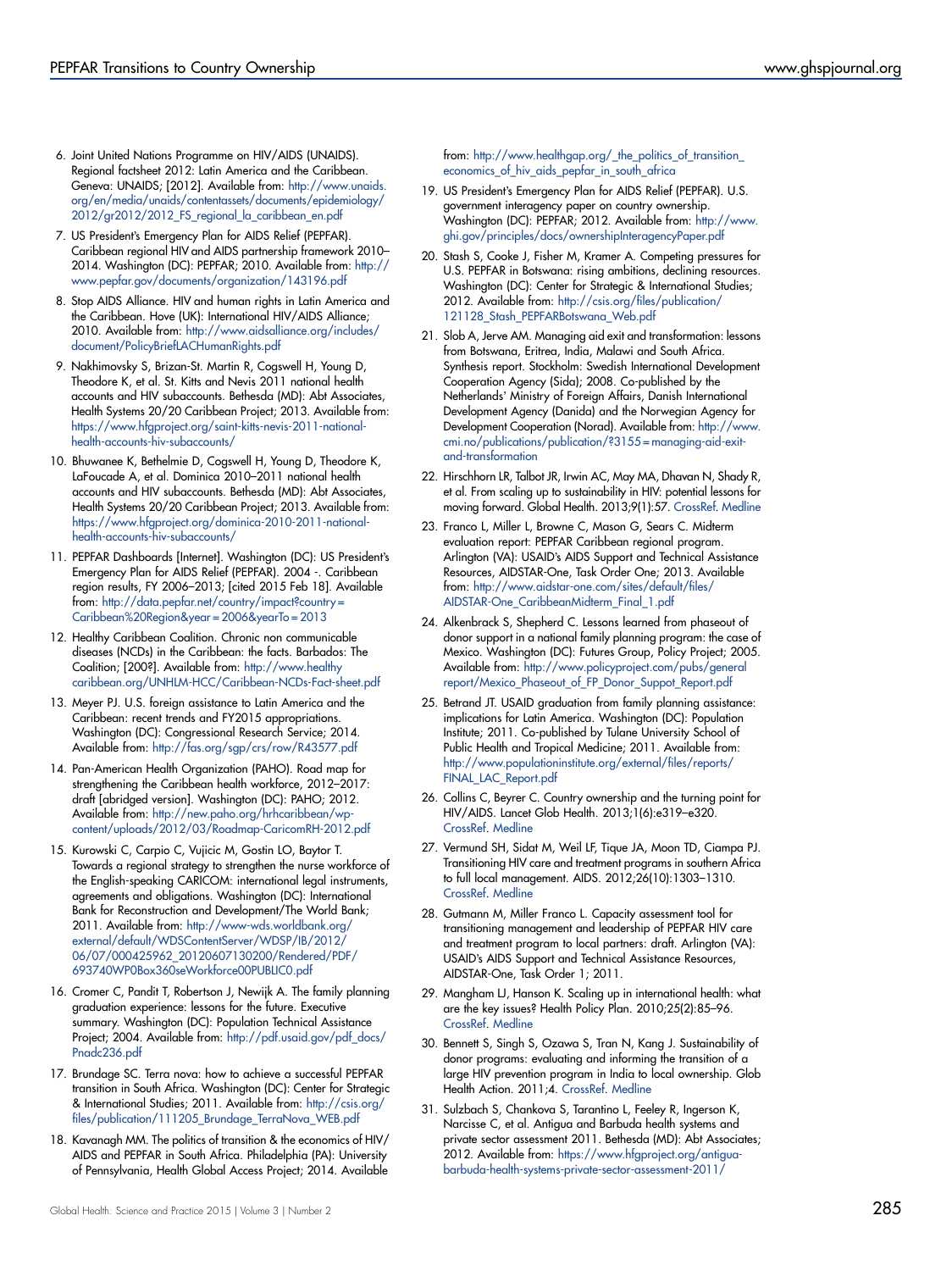- 6. Joint United Nations Programme on HIV/AIDS (UNAIDS). Regional factsheet 2012: Latin America and the Caribbean. Geneva: UNAIDS; [2012]. Available from: [http://www.unaids.](http://www.unaids.org/en/media/unaids/contentassets/documents/epidemiology/2012/gr2012/2012_FS_regional_la_caribbean_en.pdf) [org/en/media/unaids/contentassets/documents/epidemiology/](http://www.unaids.org/en/media/unaids/contentassets/documents/epidemiology/2012/gr2012/2012_FS_regional_la_caribbean_en.pdf) [2012/gr2012/2012\\_FS\\_regional\\_la\\_caribbean\\_en.pdf](http://www.unaids.org/en/media/unaids/contentassets/documents/epidemiology/2012/gr2012/2012_FS_regional_la_caribbean_en.pdf)
- 7. US President's Emergency Plan for AIDS Relief (PEPFAR). Caribbean regional HIV and AIDS partnership framework 2010– 2014. Washington (DC): PEPFAR; 2010. Available from: [http://](http://www.pepfar.gov/documents/organization/143196.pdf) [www.pepfar.gov/documents/organization/143196.pdf](http://www.pepfar.gov/documents/organization/143196.pdf)
- 8. Stop AIDS Alliance. HIV and human rights in Latin America and the Caribbean. Hove (UK): International HIV/AIDS Alliance; 2010. Available from: [http://www.aidsalliance.org/includes/](http://www.aidsalliance.org/includes/document/PolicyBriefLACHumanRights.pdf) [document/PolicyBriefLACHumanRights.pdf](http://www.aidsalliance.org/includes/document/PolicyBriefLACHumanRights.pdf)
- 9. Nakhimovsky S, Brizan-St. Martin R, Cogswell H, Young D, Theodore K, et al. St. Kitts and Nevis 2011 national health accounts and HIV subaccounts. Bethesda (MD): Abt Associates, Health Systems 20/20 Caribbean Project; 2013. Available from: [https://www.hfgproject.org/saint-kitts-nevis-2011-national](https://www.hfgproject.org/saint-kitts-nevis-2011-national-health-accounts-hiv-subaccounts/)[health-accounts-hiv-subaccounts/](https://www.hfgproject.org/saint-kitts-nevis-2011-national-health-accounts-hiv-subaccounts/)
- 10. Bhuwanee K, Bethelmie D, Cogswell H, Young D, Theodore K, LaFoucade A, et al. Dominica 2010–2011 national health accounts and HIV subaccounts. Bethesda (MD): Abt Associates, Health Systems 20/20 Caribbean Project; 2013. Available from: [https://www.hfgproject.org/dominica-2010-2011-national](https://www.hfgproject.org/dominica-2010-2011-national-health-accounts-hiv-subaccounts/)[health-accounts-hiv-subaccounts/](https://www.hfgproject.org/dominica-2010-2011-national-health-accounts-hiv-subaccounts/)
- 11. PEPFAR Dashboards [Internet]. Washington (DC): US President's Emergency Plan for AIDS Relief (PEPFAR). 2004 -. Caribbean region results, FY 2006–2013; [cited 2015 Feb 18]. Available from: [http://data.pepfar.net/country/impact?country =](http://data.pepfar.net/country/impact?country = Caribbean%20Region&year = 2006&yearTo = 2013) [Caribbean%20Region&year = 2006&yearTo = 2013](http://data.pepfar.net/country/impact?country = Caribbean%20Region&year = 2006&yearTo = 2013)
- 12. Healthy Caribbean Coalition. Chronic non communicable diseases (NCDs) in the Caribbean: the facts. Barbados: The Coalition; [200?]. Available from: [http://www.healthy](http://www.healthycaribbean.org/UNHLM-HCC/Caribbean-NCDs-Fact-sheet.pdf) [caribbean.org/UNHLM-HCC/Caribbean-NCDs-Fact-sheet.pdf](http://www.healthycaribbean.org/UNHLM-HCC/Caribbean-NCDs-Fact-sheet.pdf)
- 13. Meyer PJ. U.S. foreign assistance to Latin America and the Caribbean: recent trends and FY2015 appropriations. Washington (DC): Congressional Research Service; 2014. Available from: <http://fas.org/sgp/crs/row/R43577.pdf>
- 14. Pan-American Health Organization (PAHO). Road map for strengthening the Caribbean health workforce, 2012–2017: draft [abridged version]. Washington (DC): PAHO; 2012. Available from: [http://new.paho.org/hrhcaribbean/wp](http://new.paho.org/hrhcaribbean/wp-content/uploads/2012/03/Roadmap-CaricomRH-2012.pdf)[content/uploads/2012/03/Roadmap-CaricomRH-2012.pdf](http://new.paho.org/hrhcaribbean/wp-content/uploads/2012/03/Roadmap-CaricomRH-2012.pdf)
- 15. Kurowski C, Carpio C, Vujicic M, Gostin LO, Baytor T. Towards a regional strategy to strengthen the nurse workforce of the English-speaking CARICOM: international legal instruments, agreements and obligations. Washington (DC): International Bank for Reconstruction and Development/The World Bank; 2011. Available from: [http://www-wds.worldbank.org/](http://www-wds.worldbank.org/external/default/WDSContentServer/WDSP/IB/2012/06/07/000425962_20120607130200/Rendered/PDF/693740WP0Box360seWorkforce00PUBLIC0.pdf) [external/default/WDSContentServer/WDSP/IB/2012/](http://www-wds.worldbank.org/external/default/WDSContentServer/WDSP/IB/2012/06/07/000425962_20120607130200/Rendered/PDF/693740WP0Box360seWorkforce00PUBLIC0.pdf) [06/07/000425962\\_20120607130200/Rendered/PDF/](http://www-wds.worldbank.org/external/default/WDSContentServer/WDSP/IB/2012/06/07/000425962_20120607130200/Rendered/PDF/693740WP0Box360seWorkforce00PUBLIC0.pdf) [693740WP0Box360seWorkforce00PUBLIC0.pdf](http://www-wds.worldbank.org/external/default/WDSContentServer/WDSP/IB/2012/06/07/000425962_20120607130200/Rendered/PDF/693740WP0Box360seWorkforce00PUBLIC0.pdf)
- 16. Cromer C, Pandit T, Robertson J, Newijk A. The family planning graduation experience: lessons for the future. Executive summary. Washington (DC): Population Technical Assistance Project; 2004. Available from: [http://pdf.usaid.gov/pdf\\_docs/](http://pdf.usaid.gov/pdf_docs/Pnadc236.pdf) [Pnadc236.pdf](http://pdf.usaid.gov/pdf_docs/Pnadc236.pdf)
- 17. Brundage SC. Terra nova: how to achieve a successful PEPFAR transition in South Africa. Washington (DC): Center for Strategic & International Studies; 2011. Available from: [http://csis.org/](http://csis.org/files/publication/111205_Brundage_TerraNova_WEB.pdf) [files/publication/111205\\_Brundage\\_TerraNova\\_WEB.pdf](http://csis.org/files/publication/111205_Brundage_TerraNova_WEB.pdf)
- 18. Kavanagh MM. The politics of transition & the economics of HIV/ AIDS and PEPFAR in South Africa. Philadelphia (PA): University of Pennsylvania, Health Global Access Project; 2014. Available
- 19. US President's Emergency Plan for AIDS Relief (PEPFAR). U.S. government interagency paper on country ownership. Washington (DC): PEPFAR; 2012. Available from: [http://www.](http://www.ghi.gov/principles/docs/ownershipInteragencyPaper.pdf) [ghi.gov/principles/docs/ownershipInteragencyPaper.pdf](http://www.ghi.gov/principles/docs/ownershipInteragencyPaper.pdf)
- 20. Stash S, Cooke J, Fisher M, Kramer A. Competing pressures for U.S. PEPFAR in Botswana: rising ambitions, declining resources. Washington (DC): Center for Strategic & International Studies; 2012. Available from: [http://csis.org/files/publication/](http://csis.org/files/publication/121128_Stash_PEPFARBotswana_Web.pdf) 121128 Stash PEPFARBotswana Web.pdf
- 21. Slob A, Jerve AM. Managing aid exit and transformation: lessons from Botswana, Eritrea, India, Malawi and South Africa. Synthesis report. Stockholm: Swedish International Development Cooperation Agency (Sida); 2008. Co-published by the Netherlands' Ministry of Foreign Affairs, Danish International Development Agency (Danida) and the Norwegian Agency for Development Cooperation (Norad). Available from: [http://www.](http://www.cmi.no/publications/publication/?3155 = managing-aid-exit-and-transformation) [cmi.no/publications/publication/?3155 = managing-aid-exit](http://www.cmi.no/publications/publication/?3155 = managing-aid-exit-and-transformation)[and-transformation](http://www.cmi.no/publications/publication/?3155 = managing-aid-exit-and-transformation)
- 22. Hirschhorn LR, Talbot JR, Irwin AC, May MA, Dhavan N, Shady R, et al. From scaling up to sustainability in HIV: potential lessons for moving forward. Global Health. 2013;9(1):57. [CrossRef](http://dx.doi.org/10.1186/1744-8603-9-57). [Medline](http://www.ncbi.nlm.nih.gov/pubmed/24199749)
- 23. Franco L, Miller L, Browne C, Mason G, Sears C. Midterm evaluation report: PEPFAR Caribbean regional program. Arlington (VA): USAID's AIDS Support and Technical Assistance Resources, AIDSTAR-One, Task Order One; 2013. Available from: [http://www.aidstar-one.com/sites/default/files/](http://www.aidstar-one.com/sites/default/files/AIDSTAR-One_CaribbeanMidterm_Final_1.pdf) [AIDSTAR-One\\_CaribbeanMidterm\\_Final\\_1.pdf](http://www.aidstar-one.com/sites/default/files/AIDSTAR-One_CaribbeanMidterm_Final_1.pdf)
- 24. Alkenbrack S, Shepherd C. Lessons learned from phaseout of donor support in a national family planning program: the case of Mexico. Washington (DC): Futures Group, Policy Project; 2005. Available from: [http://www.policyproject.com/pubs/general](http://www.policyproject.com/pubs/generalreport/Mexico_Phaseout_of_FP_Donor_Suppot_Report.pdf) [report/Mexico\\_Phaseout\\_of\\_FP\\_Donor\\_Suppot\\_Report.pdf](http://www.policyproject.com/pubs/generalreport/Mexico_Phaseout_of_FP_Donor_Suppot_Report.pdf)
- 25. Betrand JT. USAID graduation from family planning assistance: implications for Latin America. Washington (DC): Population Institute; 2011. Co-published by Tulane University School of Public Health and Tropical Medicine; 2011. Available from: [http://www.populationinstitute.org/external/files/reports/](http://www.populationinstitute.org/external/files/reports/FINAL_LAC_Report.pdf) [FINAL\\_LAC\\_Report.pdf](http://www.populationinstitute.org/external/files/reports/FINAL_LAC_Report.pdf)
- 26. Collins C, Beyrer C. Country ownership and the turning point for HIV/AIDS. Lancet Glob Health. 2013;1(6):e319–e320. [CrossRef.](http://dx.doi.org/10.1016/S2214-109X(13)70092-5) [Medline](http://www.ncbi.nlm.nih.gov/pubmed/25104588)
- 27. Vermund SH, Sidat M, Weil LF, Tique JA, Moon TD, Ciampa PJ. Transitioning HIV care and treatment programs in southern Africa to full local management. AIDS. 2012;26(10):1303–1310. [CrossRef.](http://dx.doi.org/10.1097/QAD.0b013e3283552185) [Medline](http://www.ncbi.nlm.nih.gov/pubmed/22706012)
- 28. Gutmann M, Miller Franco L. Capacity assessment tool for transitioning management and leadership of PEPFAR HIV care and treatment program to local partners: draft. Arlington (VA): USAID's AIDS Support and Technical Assistance Resources, AIDSTAR-One, Task Order 1; 2011.
- 29. Mangham LJ, Hanson K. Scaling up in international health: what are the key issues? Health Policy Plan. 2010;25(2):85–96. [CrossRef.](http://dx.doi.org/10.1093/heapol/czp066) [Medline](http://www.ncbi.nlm.nih.gov/pubmed/20071454)
- 30. Bennett S, Singh S, Ozawa S, Tran N, Kang J. Sustainability of donor programs: evaluating and informing the transition of a large HIV prevention program in India to local ownership. Glob Health Action. 2011;4. [CrossRef](http://dx.doi.org/10.3402/gha.v4i0.7360). [Medline](http://www.ncbi.nlm.nih.gov/pubmed/22184502)
- 31. Sulzbach S, Chankova S, Tarantino L, Feeley R, Ingerson K, Narcisse C, et al. Antigua and Barbuda health systems and private sector assessment 2011. Bethesda (MD): Abt Associates; 2012. Available from: [https://www.hfgproject.org/antigua](https://www.hfgproject.org/antigua-barbuda-health-systems-private-sector-assessment-2011/)[barbuda-health-systems-private-sector-assessment-2011/](https://www.hfgproject.org/antigua-barbuda-health-systems-private-sector-assessment-2011/)